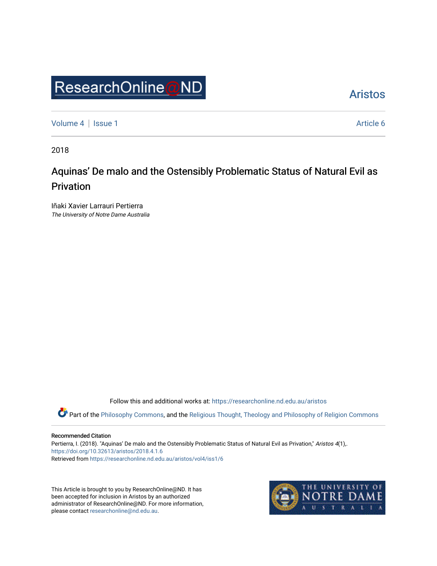# ResearchOnline@ND

[Aristos](https://researchonline.nd.edu.au/aristos) 

[Volume 4](https://researchonline.nd.edu.au/aristos/vol4) | [Issue 1](https://researchonline.nd.edu.au/aristos/vol4/iss1) Article 6

2018

# Aquinas' De malo and the Ostensibly Problematic Status of Natural Evil as Privation

Iñaki Xavier Larrauri Pertierra The University of Notre Dame Australia

Follow this and additional works at: [https://researchonline.nd.edu.au/aristos](https://researchonline.nd.edu.au/aristos?utm_source=researchonline.nd.edu.au%2Faristos%2Fvol4%2Fiss1%2F6&utm_medium=PDF&utm_campaign=PDFCoverPages) 

Part of the [Philosophy Commons](http://network.bepress.com/hgg/discipline/525?utm_source=researchonline.nd.edu.au%2Faristos%2Fvol4%2Fiss1%2F6&utm_medium=PDF&utm_campaign=PDFCoverPages), and the [Religious Thought, Theology and Philosophy of Religion Commons](http://network.bepress.com/hgg/discipline/544?utm_source=researchonline.nd.edu.au%2Faristos%2Fvol4%2Fiss1%2F6&utm_medium=PDF&utm_campaign=PDFCoverPages) 

#### Recommended Citation

Pertierra, I. (2018). "Aquinas' De malo and the Ostensibly Problematic Status of Natural Evil as Privation," Aristos 4(1),. <https://doi.org/10.32613/aristos/2018.4.1.6> Retrieved from [https://researchonline.nd.edu.au/aristos/vol4/iss1/6](https://researchonline.nd.edu.au/aristos/vol4/iss1/6?utm_source=researchonline.nd.edu.au%2Faristos%2Fvol4%2Fiss1%2F6&utm_medium=PDF&utm_campaign=PDFCoverPages)

This Article is brought to you by ResearchOnline@ND. It has been accepted for inclusion in Aristos by an authorized administrator of ResearchOnline@ND. For more information, please contact [researchonline@nd.edu.au.](mailto:researchonline@nd.edu.au)

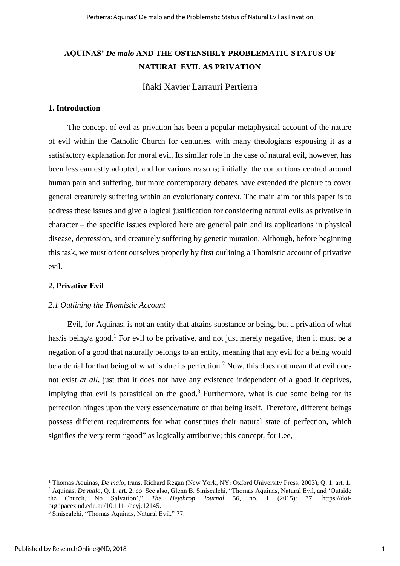# **AQUINAS'** *De malo* **AND THE OSTENSIBLY PROBLEMATIC STATUS OF NATURAL EVIL AS PRIVATION**

Iñaki Xavier Larrauri Pertierra

# **1. Introduction**

The concept of evil as privation has been a popular metaphysical account of the nature of evil within the Catholic Church for centuries, with many theologians espousing it as a satisfactory explanation for moral evil. Its similar role in the case of natural evil, however, has been less earnestly adopted, and for various reasons; initially, the contentions centred around human pain and suffering, but more contemporary debates have extended the picture to cover general creaturely suffering within an evolutionary context. The main aim for this paper is to address these issues and give a logical justification for considering natural evils as privative in character – the specific issues explored here are general pain and its applications in physical disease, depression, and creaturely suffering by genetic mutation. Although, before beginning this task, we must orient ourselves properly by first outlining a Thomistic account of privative evil.

## **2. Privative Evil**

#### *2.1 Outlining the Thomistic Account*

Evil, for Aquinas, is not an entity that attains substance or being, but a privation of what has/is being/a good.<sup>1</sup> For evil to be privative, and not just merely negative, then it must be a negation of a good that naturally belongs to an entity, meaning that any evil for a being would be a denial for that being of what is due its perfection.<sup>2</sup> Now, this does not mean that evil does not exist *at all*, just that it does not have any existence independent of a good it deprives, implying that evil is parasitical on the good.<sup>3</sup> Furthermore, what is due some being for its perfection hinges upon the very essence/nature of that being itself. Therefore, different beings possess different requirements for what constitutes their natural state of perfection, which signifies the very term "good" as logically attributive; this concept, for Lee,

<sup>&</sup>lt;sup>1</sup> Thomas Aquinas, *De malo*, trans. Richard Regan (New York, NY: Oxford University Press, 2003), Q. 1, art. 1.

<sup>&</sup>lt;sup>2</sup> Aquinas, *De malo*, Q. 1, art. 2, co. See also, Glenn B. Siniscalchi, "Thomas Aquinas, Natural Evil, and 'Outside the Church, No Salvation'," *The Heythrop Journal* 56, no. 1 (2015): 77, [https://doi](https://doi-org.ipacez.nd.edu.au/10.1111/heyj.12145)[org.ipacez.nd.edu.au/10.1111/heyj.12145.](https://doi-org.ipacez.nd.edu.au/10.1111/heyj.12145)

<sup>&</sup>lt;sup>3</sup> Siniscalchi, "Thomas Aquinas, Natural Evil," 77.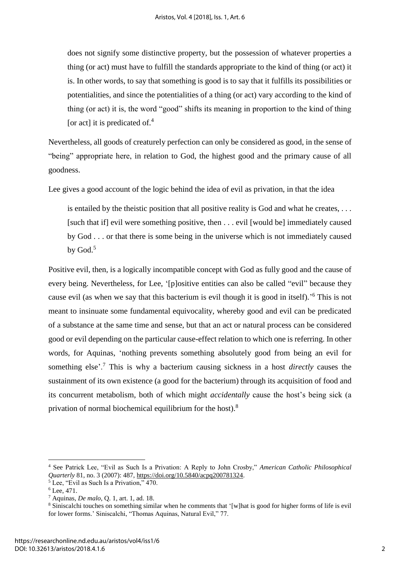does not signify some distinctive property, but the possession of whatever properties a thing (or act) must have to fulfill the standards appropriate to the kind of thing (or act) it is. In other words, to say that something is good is to say that it fulfills its possibilities or potentialities, and since the potentialities of a thing (or act) vary according to the kind of thing (or act) it is, the word "good" shifts its meaning in proportion to the kind of thing [or act] it is predicated of.<sup>4</sup>

Nevertheless, all goods of creaturely perfection can only be considered as good, in the sense of "being" appropriate here, in relation to God, the highest good and the primary cause of all goodness.

Lee gives a good account of the logic behind the idea of evil as privation, in that the idea

is entailed by the theistic position that all positive reality is God and what he creates, . . . [such that if] evil were something positive, then . . . evil [would be] immediately caused by God . . . or that there is some being in the universe which is not immediately caused by God.<sup>5</sup>

Positive evil, then, is a logically incompatible concept with God as fully good and the cause of every being. Nevertheless, for Lee, '[p]ositive entities can also be called "evil" because they cause evil (as when we say that this bacterium is evil though it is good in itself).<sup>56</sup> This is not meant to insinuate some fundamental equivocality, whereby good and evil can be predicated of a substance at the same time and sense, but that an act or natural process can be considered good or evil depending on the particular cause-effect relation to which one is referring. In other words, for Aquinas, 'nothing prevents something absolutely good from being an evil for something else'.<sup>7</sup> This is why a bacterium causing sickness in a host *directly* causes the sustainment of its own existence (a good for the bacterium) through its acquisition of food and its concurrent metabolism, both of which might *accidentally* cause the host's being sick (a privation of normal biochemical equilibrium for the host).<sup>8</sup>

<sup>4</sup> See Patrick Lee, "Evil as Such Is a Privation: A Reply to John Crosby," *American Catholic Philosophical Quarterly* 81, no. 3 (2007): 487, [https://doi.org/10.5840/acpq200781324.](https://doi.org/10.5840/acpq200781324)

 $5$  Lee, "Evil as Such Is a Privation," 470.

 $6$  Lee, 471.

<sup>7</sup> Aquinas, *De malo*, Q. 1, art. 1, ad. 18.

<sup>8</sup> Siniscalchi touches on something similar when he comments that '[w]hat is good for higher forms of life is evil for lower forms.' Siniscalchi, "Thomas Aquinas, Natural Evil," 77.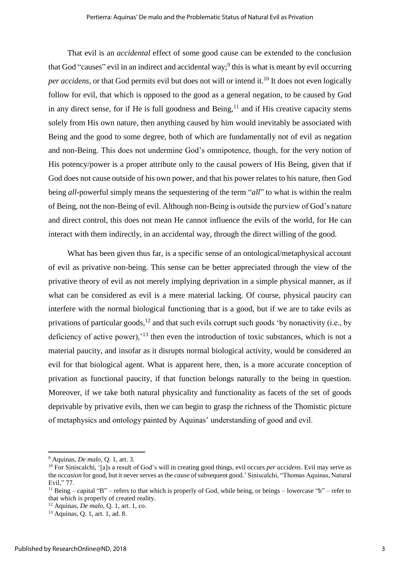That evil is an *accidental* effect of some good cause can be extended to the conclusion that God "causes" evil in an indirect and accidental way;<sup>9</sup> this is what is meant by evil occurring *per accidens*, or that God permits evil but does not will or intend it.<sup>10</sup> It does not even logically follow for evil, that which is opposed to the good as a general negation, to be caused by God in any direct sense, for if He is full goodness and Being,  $11$  and if His creative capacity stems solely from His own nature, then anything caused by him would inevitably be associated with Being and the good to some degree, both of which are fundamentally not of evil as negation and non-Being. This does not undermine God's omnipotence, though, for the very notion of His potency/power is a proper attribute only to the causal powers of His Being, given that if God does not cause outside of his own power, and that his power relates to his nature, then God being *all-*powerful simply means the sequestering of the term "*all*" to what is within the realm of Being, not the non-Being of evil. Although non-Being is outside the purview of God's nature and direct control, this does not mean He cannot influence the evils of the world, for He can interact with them indirectly, in an accidental way, through the direct willing of the good.

What has been given thus far, is a specific sense of an ontological/metaphysical account of evil as privative non-being. This sense can be better appreciated through the view of the privative theory of evil as not merely implying deprivation in a simple physical manner, as if what can be considered as evil is a mere material lacking. Of course, physical paucity can interfere with the normal biological functioning that is a good, but if we are to take evils as privations of particular goods,<sup>12</sup> and that such evils corrupt such goods 'by nonactivity (i.e., by deficiency of active power),<sup>'13</sup> then even the introduction of toxic substances, which is not a material paucity, and insofar as it disrupts normal biological activity, would be considered an evil for that biological agent. What is apparent here, then, is a more accurate conception of privation as functional paucity, if that function belongs naturally to the being in question. Moreover, if we take both natural physicality and functionality as facets of the set of goods deprivable by privative evils, then we can begin to grasp the richness of the Thomistic picture of metaphysics and ontology painted by Aquinas' understanding of good and evil.

<sup>9</sup> Aquinas, *De malo*, Q. 1, art. 3.

<sup>10</sup> For Siniscalchi, '[a]s a result of God's will in creating good things, evil occurs *per accidens*. Evil may serve as the *occasion* for good, but it never serves as the *cause* of subsequent good.' Siniscalchi, "Thomas Aquinas, Natural Evil," 77.

<sup>&</sup>lt;sup>11</sup> Being – capital "B" – refers to that which is properly of God, while being, or beings – lowercase "b" – refer to that which is properly of created reality.

<sup>12</sup> Aquinas, *De malo*, Q. 1, art. 1, co.

<sup>13</sup> Aquinas, Q. 1, art. 1, ad. 8.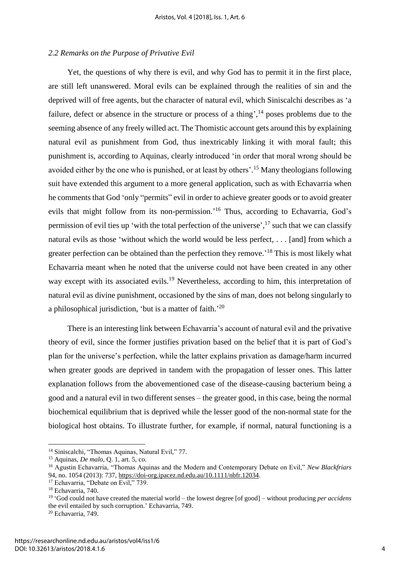#### *2.2 Remarks on the Purpose of Privative Evil*

Yet, the questions of why there is evil, and why God has to permit it in the first place, are still left unanswered. Moral evils can be explained through the realities of sin and the deprived will of free agents, but the character of natural evil, which Siniscalchi describes as 'a failure, defect or absence in the structure or process of a thing',  $^{14}$  poses problems due to the seeming absence of any freely willed act. The Thomistic account gets around this by explaining natural evil as punishment from God, thus inextricably linking it with moral fault; this punishment is, according to Aquinas, clearly introduced 'in order that moral wrong should be avoided either by the one who is punished, or at least by others'.<sup>15</sup> Many theologians following suit have extended this argument to a more general application, such as with Echavarria when he comments that God 'only "permits" evil in order to achieve greater goods or to avoid greater evils that might follow from its non-permission.'<sup>16</sup> Thus, according to Echavarria, God's permission of evil ties up 'with the total perfection of the universe',<sup>17</sup> such that we can classify natural evils as those 'without which the world would be less perfect, . . . [and] from which a greater perfection can be obtained than the perfection they remove.<sup>18</sup> This is most likely what Echavarria meant when he noted that the universe could not have been created in any other way except with its associated evils.<sup>19</sup> Nevertheless, according to him, this interpretation of natural evil as divine punishment, occasioned by the sins of man, does not belong singularly to a philosophical jurisdiction, 'but is a matter of faith.'<sup>20</sup>

There is an interesting link between Echavarria's account of natural evil and the privative theory of evil, since the former justifies privation based on the belief that it is part of God's plan for the universe's perfection, while the latter explains privation as damage/harm incurred when greater goods are deprived in tandem with the propagation of lesser ones. This latter explanation follows from the abovementioned case of the disease-causing bacterium being a good and a natural evil in two different senses – the greater good, in this case, being the normal biochemical equilibrium that is deprived while the lesser good of the non-normal state for the biological host obtains. To illustrate further, for example, if normal, natural functioning is a

 $\overline{a}$ 

<sup>&</sup>lt;sup>14</sup> Siniscalchi, "Thomas Aquinas, Natural Evil," 77.

<sup>15</sup> Aquinas, *De malo*, Q. 1, art. 5, co.

<sup>16</sup> Agustin Echavarria, "Thomas Aquinas and the Modern and Contemporary Debate on Evil," *New Blackfriars* 94, no. 1054 (2013): 737, [https://doi-org.ipacez.nd.edu.au/10.1111/nbfr.12034.](https://doi-org.ipacez.nd.edu.au/10.1111/nbfr.12034)

<sup>&</sup>lt;sup>17</sup> Echavarria, "Debate on Evil," 739.

<sup>18</sup> Echavarria, 740.

<sup>19</sup> 'God could not have created the material world – the lowest degree [of good] – without producing *per accidens*  the evil entailed by such corruption.' Echavarria, 749.

<sup>20</sup> Echavarria, 749.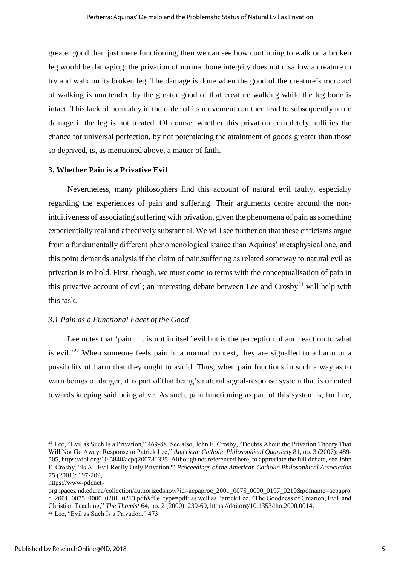greater good than just mere functioning, then we can see how continuing to walk on a broken leg would be damaging: the privation of normal bone integrity does not disallow a creature to try and walk on its broken leg. The damage is done when the good of the creature's mere act of walking is unattended by the greater good of that creature walking while the leg bone is intact. This lack of normalcy in the order of its movement can then lead to subsequently more damage if the leg is not treated. Of course, whether this privation completely nullifies the chance for universal perfection, by not potentiating the attainment of goods greater than those so deprived, is, as mentioned above, a matter of faith.

#### **3. Whether Pain is a Privative Evil**

Nevertheless, many philosophers find this account of natural evil faulty, especially regarding the experiences of pain and suffering. Their arguments centre around the nonintuitiveness of associating suffering with privation, given the phenomena of pain as something experientially real and affectively substantial. We will see further on that these criticisms argue from a fundamentally different phenomenological stance than Aquinas' metaphysical one, and this point demands analysis if the claim of pain/suffering as related someway to natural evil as privation is to hold. First, though, we must come to terms with the conceptualisation of pain in this privative account of evil; an interesting debate between Lee and  $Crosby<sup>21</sup>$  will help with this task.

# *3.1 Pain as a Functional Facet of the Good*

Lee notes that 'pain . . . is not in itself evil but is the perception of and reaction to what is evil.<sup>22</sup> When someone feels pain in a normal context, they are signalled to a harm or a possibility of harm that they ought to avoid. Thus, when pain functions in such a way as to warn beings of danger, it is part of that being's natural signal-response system that is oriented towards keeping said being alive. As such, pain functioning as part of this system is, for Lee,

```
https://www-pdcnet-
```
<sup>&</sup>lt;sup>21</sup> Lee, "Evil as Such Is a Privation," 469-88. See also, John F. Crosby, "Doubts About the Privation Theory That Will Not Go Away: Response to Patrick Lee," *American Catholic Philosophical Quarterly* 81, no. 3 (2007): 489- 505[, https://doi.org/10.5840/acpq200781325.](https://doi.org/10.5840/acpq200781325) Although not referenced here, to appreciate the full debate, see John F. Crosby, "Is All Evil Really Only Privation?" *Proceedings of the American Catholic Philosophical Association* 75 (2001): 197-209,

[org.ipacez.nd.edu.au/collection/authorizedshow?id=acpaproc\\_2001\\_0075\\_0000\\_0197\\_0210&pdfname=acpapro](https://www-pdcnet-org.ipacez.nd.edu.au/collection/authorizedshow?id=acpaproc_2001_0075_0000_0197_0210&pdfname=acpaproc_2001_0075_0000_0201_0213.pdf&file_type=pdf) [c\\_2001\\_0075\\_0000\\_0201\\_0213.pdf&file\\_type=pdf;](https://www-pdcnet-org.ipacez.nd.edu.au/collection/authorizedshow?id=acpaproc_2001_0075_0000_0197_0210&pdfname=acpaproc_2001_0075_0000_0201_0213.pdf&file_type=pdf) as well as Patrick Lee, "The Goodness of Creation, Evil, and Christian Teaching," *The Thomist* 64, no. 2 (2000): 239-69, [https://doi.org/10.1353/tho.2000.0014.](https://doi.org/10.1353/tho.2000.0014)  $22$  Lee, "Evil as Such Is a Privation," 473.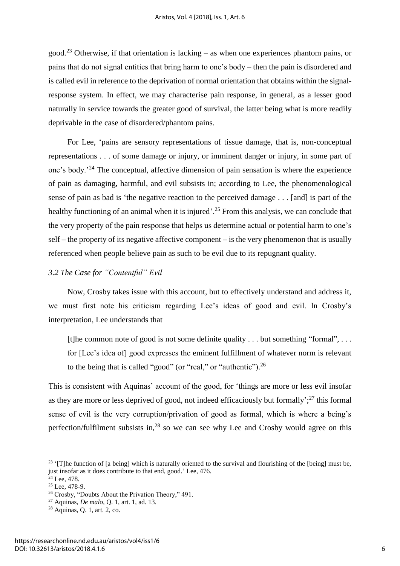good.<sup>23</sup> Otherwise, if that orientation is lacking – as when one experiences phantom pains, or pains that do not signal entities that bring harm to one's body – then the pain is disordered and is called evil in reference to the deprivation of normal orientation that obtains within the signalresponse system. In effect, we may characterise pain response, in general, as a lesser good naturally in service towards the greater good of survival, the latter being what is more readily deprivable in the case of disordered/phantom pains.

For Lee, 'pains are sensory representations of tissue damage, that is, non-conceptual representations . . . of some damage or injury, or imminent danger or injury, in some part of one's body.'<sup>24</sup> The conceptual, affective dimension of pain sensation is where the experience of pain as damaging, harmful, and evil subsists in; according to Lee, the phenomenological sense of pain as bad is 'the negative reaction to the perceived damage . . . [and] is part of the healthy functioning of an animal when it is injured'.<sup>25</sup> From this analysis, we can conclude that the very property of the pain response that helps us determine actual or potential harm to one's self – the property of its negative affective component – is the very phenomenon that is usually referenced when people believe pain as such to be evil due to its repugnant quality.

# *3.2 The Case for "Contentful" Evil*

Now, Crosby takes issue with this account, but to effectively understand and address it, we must first note his criticism regarding Lee's ideas of good and evil. In Crosby's interpretation, Lee understands that

[t]he common note of good is not some definite quality  $\dots$  but something "formal",  $\dots$ for [Lee's idea of] good expresses the eminent fulfillment of whatever norm is relevant to the being that is called "good" (or "real," or "authentic").<sup>26</sup>

This is consistent with Aquinas' account of the good, for 'things are more or less evil insofar as they are more or less deprived of good, not indeed efficaciously but formally';<sup>27</sup> this formal sense of evil is the very corruption/privation of good as formal, which is where a being's perfection/fulfilment subsists in, $^{28}$  so we can see why Lee and Crosby would agree on this

1

<sup>&</sup>lt;sup>23</sup> '[T]he function of [a being] which is naturally oriented to the survival and flourishing of the [being] must be, just insofar as it does contribute to that end, good.' Lee, 476.

 $24$  Lee, 478.

 $25$  Lee, 478-9.

<sup>26</sup> Crosby, "Doubts About the Privation Theory," 491.

<sup>27</sup> Aquinas, *De malo*, Q. 1, art. 1, ad. 13.

<sup>28</sup> Aquinas, Q. 1, art. 2, co.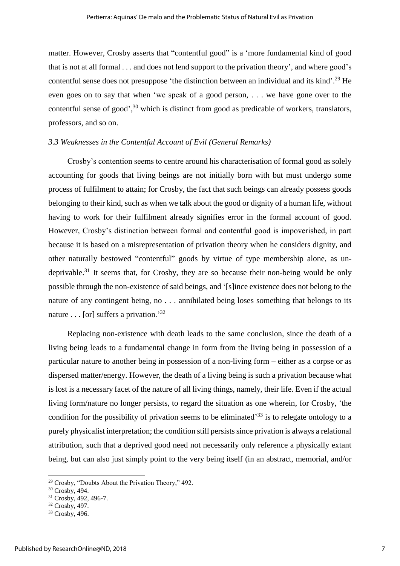matter. However, Crosby asserts that "contentful good" is a 'more fundamental kind of good that is not at all formal . . . and does not lend support to the privation theory', and where good's contentful sense does not presuppose 'the distinction between an individual and its kind'.<sup>29</sup> He even goes on to say that when 'we speak of a good person, . . . we have gone over to the contentful sense of good', <sup>30</sup> which is distinct from good as predicable of workers, translators, professors, and so on.

#### *3.3 Weaknesses in the Contentful Account of Evil (General Remarks)*

Crosby's contention seems to centre around his characterisation of formal good as solely accounting for goods that living beings are not initially born with but must undergo some process of fulfilment to attain; for Crosby, the fact that such beings can already possess goods belonging to their kind, such as when we talk about the good or dignity of a human life, without having to work for their fulfilment already signifies error in the formal account of good. However, Crosby's distinction between formal and contentful good is impoverished, in part because it is based on a misrepresentation of privation theory when he considers dignity, and other naturally bestowed "contentful" goods by virtue of type membership alone, as undeprivable.<sup>31</sup> It seems that, for Crosby, they are so because their non-being would be only possible through the non-existence of said beings, and '[s]ince existence does not belong to the nature of any contingent being, no . . . annihilated being loses something that belongs to its nature . . . [or] suffers a privation.<sup>32</sup>

Replacing non-existence with death leads to the same conclusion, since the death of a living being leads to a fundamental change in form from the living being in possession of a particular nature to another being in possession of a non-living form – either as a corpse or as dispersed matter/energy. However, the death of a living being is such a privation because what is lost is a necessary facet of the nature of all living things, namely, their life. Even if the actual living form/nature no longer persists, to regard the situation as one wherein, for Crosby, 'the condition for the possibility of privation seems to be eliminated<sup>33</sup> is to relegate ontology to a purely physicalist interpretation; the condition still persists since privation is always a relational attribution, such that a deprived good need not necessarily only reference a physically extant being, but can also just simply point to the very being itself (in an abstract, memorial, and/or

<sup>29</sup> Crosby, "Doubts About the Privation Theory," 492.

<sup>30</sup> Crosby, 494.

<sup>31</sup> Crosby, 492, 496-7.

<sup>32</sup> Crosby, 497.

<sup>&</sup>lt;sup>33</sup> Crosby, 496.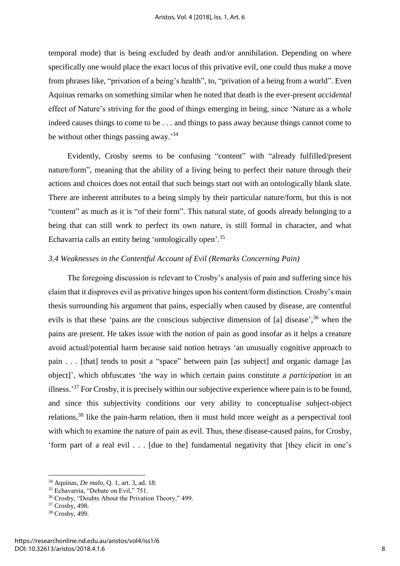temporal mode) that is being excluded by death and/or annihilation. Depending on where specifically one would place the exact locus of this privative evil, one could thus make a move from phrases like, "privation of a being's health", to, "privation of a being from a world". Even Aquinas remarks on something similar when he noted that death is the ever-present *accidental* effect of Nature's striving for the good of things emerging in being, since 'Nature as a whole indeed causes things to come to be . . . and things to pass away because things cannot come to be without other things passing away.<sup>34</sup>

Evidently, Crosby seems to be confusing "content" with "already fulfilled/present nature/form", meaning that the ability of a living being to perfect their nature through their actions and choices does not entail that such beings start out with an ontologically blank slate. There are inherent attributes to a being simply by their particular nature/form, but this is not "content" as much as it is "of their form". This natural state, of goods already belonging to a being that can still work to perfect its own nature, is still formal in character, and what Echavarria calls an entity being 'ontologically open'.<sup>35</sup>

#### *3.4 Weaknesses in the Contentful Account of Evil (Remarks Concerning Pain)*

The foregoing discussion is relevant to Crosby's analysis of pain and suffering since his claim that it disproves evil as privative hinges upon his content/form distinction. Crosby's main thesis surrounding his argument that pains, especially when caused by disease, are contentful evils is that these 'pains are the conscious subjective dimension of [a] disease',<sup>36</sup> when the pains are present. He takes issue with the notion of pain as good insofar as it helps a creature avoid actual/potential harm because said notion betrays 'an unusually cognitive approach to pain . . . [that] tends to posit a "space" between pain [as subject] and organic damage [as object]', which obfuscates 'the way in which certain pains constitute a *participation* in an illness.<sup>37</sup> For Crosby, it is precisely within our subjective experience where pain is to be found, and since this subjectivity conditions our very ability to conceptualise subject-object relations,<sup>38</sup> like the pain-harm relation, then it must hold more weight as a perspectival tool with which to examine the nature of pain as evil. Thus, these disease-caused pains, for Crosby, 'form part of a real evil . . . [due to the] fundamental negativity that [they elicit in one's

<sup>34</sup> Aquinas, *De malo*, Q. 1, art. 3, ad. 18.

<sup>&</sup>lt;sup>35</sup> Echavarria, "Debate on Evil," 751.

<sup>36</sup> Crosby, "Doubts About the Privation Theory," 499.

<sup>37</sup> Crosby, 498.

<sup>38</sup> Crosby, 499.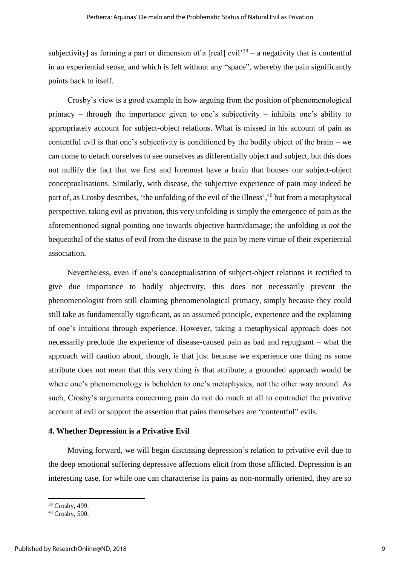subjectivity] as forming a part or dimension of a [real] evil<sup>39</sup> – a negativity that is contentful in an experiential sense, and which is felt without any "space", whereby the pain significantly points back to itself.

Crosby's view is a good example in how arguing from the position of phenomenological primacy – through the importance given to one's subjectivity – inhibits one's ability to appropriately account for subject-object relations. What is missed in his account of pain as contentful evil is that one's subjectivity is conditioned by the bodily object of the brain – we can come to detach ourselves to see ourselves as differentially object and subject, but this does not nullify the fact that we first and foremost have a brain that houses our subject-object conceptualisations. Similarly, with disease, the subjective experience of pain may indeed be part of, as Crosby describes, 'the unfolding of the evil of the illness',<sup>40</sup> but from a metaphysical perspective, taking evil as privation, this very unfolding is simply the emergence of pain as the aforementioned signal pointing one towards objective harm/damage; the unfolding is *not* the bequeathal of the status of evil from the disease to the pain by mere virtue of their experiential association.

Nevertheless, even if one's conceptualisation of subject-object relations is rectified to give due importance to bodily objectivity, this does not necessarily prevent the phenomenologist from still claiming phenomenological primacy, simply because they could still take as fundamentally significant, as an assumed principle, experience and the explaining of one's intuitions through experience. However, taking a metaphysical approach does not necessarily preclude the experience of disease-caused pain as bad and repugnant – what the approach will caution about, though, is that just because we experience one thing *as* some attribute does not mean that this very thing *is* that attribute; a grounded approach would be where one's phenomenology is beholden to one's metaphysics, not the other way around. As such, Crosby's arguments concerning pain do not do much at all to contradict the privative account of evil or support the assertion that pains themselves are "contentful" evils.

# **4. Whether Depression is a Privative Evil**

Moving forward, we will begin discussing depression's relation to privative evil due to the deep emotional suffering depressive affections elicit from those afflicted. Depression is an interesting case, for while one can characterise its pains as non-normally oriented, they are so

<sup>39</sup> Crosby, 499.

 $40$  Crosby, 500.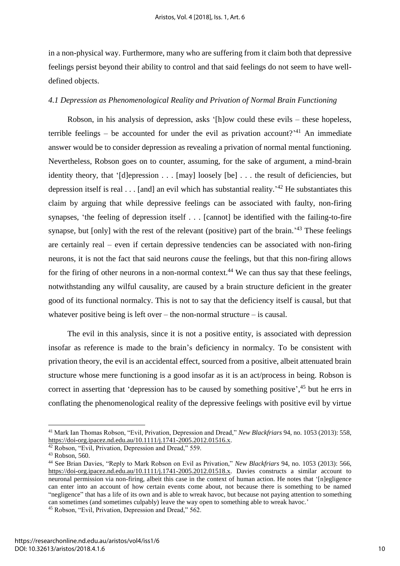in a non-physical way. Furthermore, many who are suffering from it claim both that depressive feelings persist beyond their ability to control and that said feelings do not seem to have welldefined objects.

### *4.1 Depression as Phenomenological Reality and Privation of Normal Brain Functioning*

Robson, in his analysis of depression, asks '[h]ow could these evils – these hopeless, terrible feelings – be accounted for under the evil as privation account?<sup>41</sup> An immediate answer would be to consider depression as revealing a privation of normal mental functioning. Nevertheless, Robson goes on to counter, assuming, for the sake of argument, a mind-brain identity theory, that '[d]epression . . . [may] loosely [be] . . . the result of deficiencies, but depression itself is real  $\dots$  [and] an evil which has substantial reality.<sup>42</sup> He substantiates this claim by arguing that while depressive feelings can be associated with faulty, non-firing synapses, 'the feeling of depression itself . . . [cannot] be identified with the failing-to-fire synapse, but [only] with the rest of the relevant (positive) part of the brain.<sup> $43$ </sup> These feelings are certainly real – even if certain depressive tendencies can be associated with non-firing neurons, it is not the fact that said neurons *cause* the feelings, but that this non-firing allows for the firing of other neurons in a non-normal context.<sup>44</sup> We can thus say that these feelings, notwithstanding any wilful causality, are caused by a brain structure deficient in the greater good of its functional normalcy. This is not to say that the deficiency itself is causal, but that whatever positive being is left over – the non-normal structure – is causal.

The evil in this analysis, since it is not a positive entity, is associated with depression insofar as reference is made to the brain's deficiency in normalcy. To be consistent with privation theory, the evil is an accidental effect, sourced from a positive, albeit attenuated brain structure whose mere functioning is a good insofar as it is an act/process in being. Robson is correct in asserting that 'depression has to be caused by something positive', <sup>45</sup> but he errs in conflating the phenomenological reality of the depressive feelings with positive evil by virtue

<sup>41</sup> Mark Ian Thomas Robson, "Evil, Privation, Depression and Dread," *New Blackfriars* 94, no. 1053 (2013): 558, [https://doi-org.ipacez.nd.edu.au/10.1111/j.1741-2005.2012.01516.x.](https://doi-org.ipacez.nd.edu.au/10.1111/j.1741-2005.2012.01516.x)

<sup>&</sup>lt;sup>42</sup> Robson, "Evil, Privation, Depression and Dread," 559.

<sup>43</sup> Robson, 560.

<sup>44</sup> See Brian Davies, "Reply to Mark Robson on Evil as Privation," *New Blackfriars* 94, no. 1053 (2013): 566, [https://doi-org.ipacez.nd.edu.au/10.1111/j.1741-2005.2012.01518.x.](https://doi-org.ipacez.nd.edu.au/10.1111/j.1741-2005.2012.01518.x) Davies constructs a similar account to neuronal permission via non-firing, albeit this case in the context of human action. He notes that '[n]egligence can enter into an account of how certain events come about, not because there is something to be named "negligence" that has a life of its own and is able to wreak havoc, but because not paying attention to something can sometimes (and sometimes culpably) leave the way open to something able to wreak havoc.'

<sup>45</sup> Robson, "Evil, Privation, Depression and Dread," 562.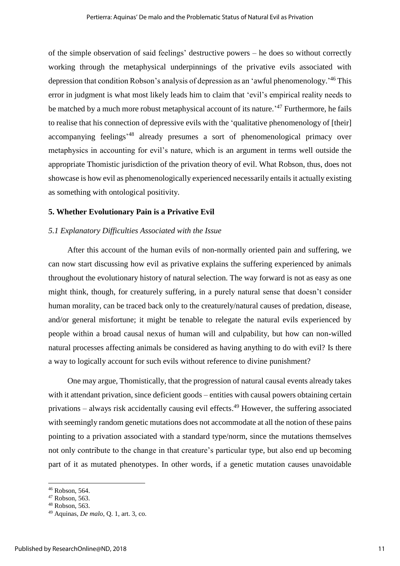of the simple observation of said feelings' destructive powers – he does so without correctly working through the metaphysical underpinnings of the privative evils associated with depression that condition Robson's analysis of depression as an 'awful phenomenology.<sup>146</sup> This error in judgment is what most likely leads him to claim that 'evil's empirical reality needs to be matched by a much more robust metaphysical account of its nature.<sup>47</sup> Furthermore, he fails to realise that his connection of depressive evils with the 'qualitative phenomenology of [their] accompanying feelings<sup>,48</sup> already presumes a sort of phenomenological primacy over metaphysics in accounting for evil's nature, which is an argument in terms well outside the appropriate Thomistic jurisdiction of the privation theory of evil. What Robson, thus, does not showcase is how evil as phenomenologically experienced necessarily entails it actually existing as something with ontological positivity.

## **5. Whether Evolutionary Pain is a Privative Evil**

### *5.1 Explanatory Difficulties Associated with the Issue*

After this account of the human evils of non-normally oriented pain and suffering, we can now start discussing how evil as privative explains the suffering experienced by animals throughout the evolutionary history of natural selection. The way forward is not as easy as one might think, though, for creaturely suffering, in a purely natural sense that doesn't consider human morality, can be traced back only to the creaturely/natural causes of predation, disease, and/or general misfortune; it might be tenable to relegate the natural evils experienced by people within a broad causal nexus of human will and culpability, but how can non-willed natural processes affecting animals be considered as having anything to do with evil? Is there a way to logically account for such evils without reference to divine punishment?

One may argue, Thomistically, that the progression of natural causal events already takes with it attendant privation, since deficient goods – entities with causal powers obtaining certain privations – always risk accidentally causing evil effects.<sup>49</sup> However, the suffering associated with seemingly random genetic mutations does not accommodate at all the notion of these pains pointing to a privation associated with a standard type/norm, since the mutations themselves not only contribute to the change in that creature's particular type, but also end up becoming part of it as mutated phenotypes. In other words, if a genetic mutation causes unavoidable

<sup>46</sup> Robson, 564.

<sup>47</sup> Robson, 563.

<sup>48</sup> Robson, 563.

<sup>49</sup> Aquinas, *De malo*, Q. 1, art. 3, co.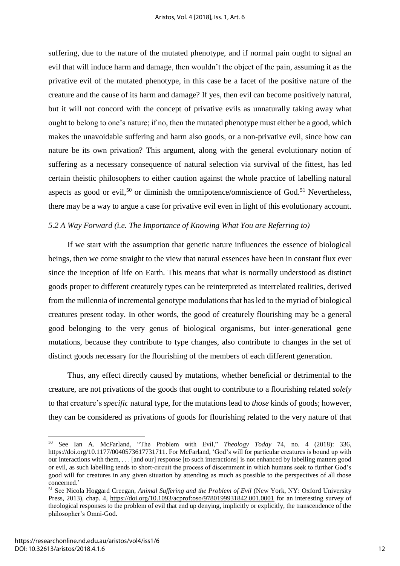suffering, due to the nature of the mutated phenotype, and if normal pain ought to signal an evil that will induce harm and damage, then wouldn't the object of the pain, assuming it as the privative evil of the mutated phenotype, in this case be a facet of the positive nature of the creature and the cause of its harm and damage? If yes, then evil can become positively natural, but it will not concord with the concept of privative evils as unnaturally taking away what ought to belong to one's nature; if no, then the mutated phenotype must either be a good, which makes the unavoidable suffering and harm also goods, or a non-privative evil, since how can nature be its own privation? This argument, along with the general evolutionary notion of suffering as a necessary consequence of natural selection via survival of the fittest, has led certain theistic philosophers to either caution against the whole practice of labelling natural aspects as good or evil,<sup>50</sup> or diminish the omnipotence/omniscience of God.<sup>51</sup> Nevertheless, there may be a way to argue a case for privative evil even in light of this evolutionary account.

# *5.2 A Way Forward (i.e. The Importance of Knowing What You are Referring to)*

If we start with the assumption that genetic nature influences the essence of biological beings, then we come straight to the view that natural essences have been in constant flux ever since the inception of life on Earth. This means that what is normally understood as distinct goods proper to different creaturely types can be reinterpreted as interrelated realities, derived from the millennia of incremental genotype modulations that has led to the myriad of biological creatures present today. In other words, the good of creaturely flourishing may be a general good belonging to the very genus of biological organisms, but inter-generational gene mutations, because they contribute to type changes, also contribute to changes in the set of distinct goods necessary for the flourishing of the members of each different generation.

Thus, any effect directly caused by mutations, whether beneficial or detrimental to the creature, are not privations of the goods that ought to contribute to a flourishing related *solely* to that creature's *specific* natural type, for the mutations lead to *those* kinds of goods; however, they can be considered as privations of goods for flourishing related to the very nature of that

<sup>50</sup> See Ian A. McFarland, "The Problem with Evil," *Theology Today* 74, no. 4 (2018): 336, [https://doi.org/10.1177/0040573617731711.](https://doi.org/10.1177/0040573617731711) For McFarland, 'God's will for particular creatures is bound up with our interactions with them, . . . [and our] response [to such interactions] is not enhanced by labelling matters good or evil, as such labelling tends to short-circuit the process of discernment in which humans seek to further God's good will for creatures in any given situation by attending as much as possible to the perspectives of all those concerned.'

<sup>51</sup> See Nicola Hoggard Creegan, *Animal Suffering and the Problem of Evil* (New York, NY: Oxford University Press, 2013), chap. 4,<https://doi.org/10.1093/acprof:oso/9780199931842.001.0001>for an interesting survey of theological responses to the problem of evil that end up denying, implicitly or explicitly, the transcendence of the philosopher's Omni-God.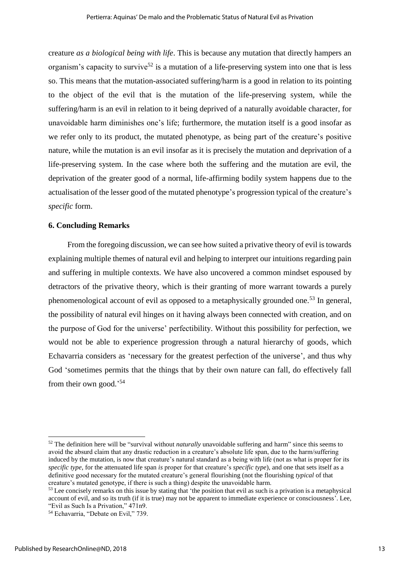creature *as a biological being with life*. This is because any mutation that directly hampers an organism's capacity to survive<sup>52</sup> is a mutation of a life-preserving system into one that is less so. This means that the mutation-associated suffering/harm is a good in relation to its pointing to the object of the evil that is the mutation of the life-preserving system, while the suffering/harm is an evil in relation to it being deprived of a naturally avoidable character, for unavoidable harm diminishes one's life; furthermore, the mutation itself is a good insofar as we refer only to its product, the mutated phenotype, as being part of the creature's positive nature, while the mutation is an evil insofar as it is precisely the mutation and deprivation of a life-preserving system. In the case where both the suffering and the mutation are evil, the deprivation of the greater good of a normal, life-affirming bodily system happens due to the actualisation of the lesser good of the mutated phenotype's progression typical of the creature's *specific* form.

## **6. Concluding Remarks**

From the foregoing discussion, we can see how suited a privative theory of evil is towards explaining multiple themes of natural evil and helping to interpret our intuitions regarding pain and suffering in multiple contexts. We have also uncovered a common mindset espoused by detractors of the privative theory, which is their granting of more warrant towards a purely phenomenological account of evil as opposed to a metaphysically grounded one.<sup>53</sup> In general, the possibility of natural evil hinges on it having always been connected with creation, and on the purpose of God for the universe' perfectibility. Without this possibility for perfection, we would not be able to experience progression through a natural hierarchy of goods, which Echavarria considers as 'necessary for the greatest perfection of the universe', and thus why God 'sometimes permits that the things that by their own nature can fall, do effectively fall from their own good.'<sup>54</sup>

<sup>52</sup> The definition here will be "survival without *naturally* unavoidable suffering and harm" since this seems to avoid the absurd claim that any drastic reduction in a creature's absolute life span, due to the harm/suffering induced by the mutation, is now that creature's natural standard as a being with life (not as what is proper for its *specific type*, for the attenuated life span *is* proper for that creature's *specific type*), and one that sets itself as a definitive good necessary for the mutated creature's general flourishing (not the flourishing *typical* of that creature's mutated genotype, if there is such a thing) despite the unavoidable harm.

 $<sup>53</sup>$  Lee concisely remarks on this issue by stating that 'the position that evil as such is a privation is a metaphysical</sup> account of evil, and so its truth (if it is true) may not be apparent to immediate experience or consciousness'. Lee, "Evil as Such Is a Privation," 471n9.

<sup>54</sup> Echavarria, "Debate on Evil," 739.